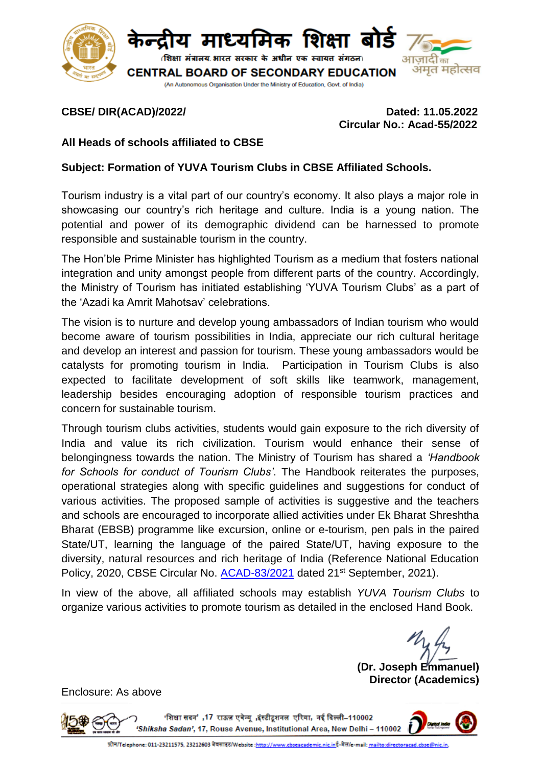

### **CBSE/ DIR(ACAD)/2022/ Dated: 11.05.2022 Circular No.: Acad-55/2022**

## **All Heads of schools affiliated to CBSE**

## **Subject: Formation of YUVA Tourism Clubs in CBSE Affiliated Schools.**

Tourism industry is a vital part of our country's economy. It also plays a major role in showcasing our country's rich heritage and culture. India is a young nation. The potential and power of its demographic dividend can be harnessed to promote responsible and sustainable tourism in the country.

The Hon'ble Prime Minister has highlighted Tourism as a medium that fosters national integration and unity amongst people from different parts of the country. Accordingly, the Ministry of Tourism has initiated establishing 'YUVA Tourism Clubs' as a part of the 'Azadi ka Amrit Mahotsav' celebrations.

The vision is to nurture and develop young ambassadors of Indian tourism who would become aware of tourism possibilities in India, appreciate our rich cultural heritage and develop an interest and passion for tourism. These young ambassadors would be catalysts for promoting tourism in India. Participation in Tourism Clubs is also expected to facilitate development of soft skills like teamwork, management, leadership besides encouraging adoption of responsible tourism practices and concern for sustainable tourism.

Through tourism clubs activities, students would gain exposure to the rich diversity of India and value its rich civilization. Tourism would enhance their sense of belongingness towards the nation. The Ministry of Tourism has shared a *'Handbook for Schools for conduct of Tourism Clubs'*. The Handbook reiterates the purposes, operational strategies along with specific guidelines and suggestions for conduct of various activities. The proposed sample of activities is suggestive and the teachers and schools are encouraged to incorporate allied activities under Ek Bharat Shreshtha Bharat (EBSB) programme like excursion, online or e-tourism, pen pals in the paired State/UT, learning the language of the paired State/UT, having exposure to the diversity, natural resources and rich heritage of India (Reference National Education Policy, 2020, CBSE Circular No. [ACAD-83/2021](https://cbseacademic.nic.in/web_material/Circulars/2021/83_Circular_2021.pdf) dated 21<sup>st</sup> September, 2021).

In view of the above, all affiliated schools may establish *YUVA Tourism Clubs* to organize various activities to promote tourism as detailed in the enclosed Hand Book.

**(Dr. Joseph Emmanuel) Director (Academics)**

Enclosure: As above

'शिक्षा सदन',17 राऊज़ एवेन्यु ,इंस्टीटुशनल एरिया, नई दिल्ली-110002 'Shiksha Sadan', 17, Rouse Avenue, Institutional Area, New Delhi - 110002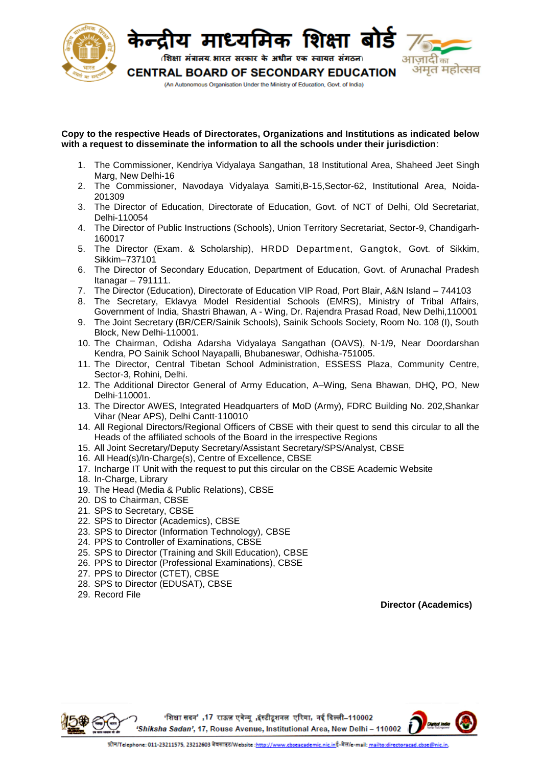

#### **Copy to the respective Heads of Directorates, Organizations and Institutions as indicated below with a request to disseminate the information to all the schools under their jurisdiction**:

- 1. The Commissioner, Kendriya Vidyalaya Sangathan, 18 Institutional Area, Shaheed Jeet Singh Marg, New Delhi-16
- 2. The Commissioner, Navodaya Vidyalaya Samiti,B-15,Sector-62, Institutional Area, Noida-201309
- 3. The Director of Education, Directorate of Education, Govt. of NCT of Delhi, Old Secretariat, Delhi-110054
- 4. The Director of Public Instructions (Schools), Union Territory Secretariat, Sector-9, Chandigarh-160017
- 5. The Director (Exam. & Scholarship), HRDD Department, Gangtok, Govt. of Sikkim, Sikkim–737101
- 6. The Director of Secondary Education, Department of Education, Govt. of Arunachal Pradesh Itanagar – 791111.
- 7. The Director (Education), Directorate of Education VIP Road, Port Blair, A&N Island 744103
- 8. The Secretary, Eklavya Model Residential Schools (EMRS), Ministry of Tribal Affairs, Government of India, Shastri Bhawan, A - Wing, Dr. Rajendra Prasad Road, New [Delhi,110001](http://tribal.gov.in/)
- 9. The Joint Secretary (BR/CER/Sainik Schools), Sainik Schools Society, Room No. 108 (I), South Block, New Delhi-110001.
- 10. The Chairman, Odisha Adarsha Vidyalaya Sangathan (OAVS), N-1/9, Near Doordarshan Kendra, PO Sainik School Nayapalli, Bhubaneswar, Odhisha-751005.
- 11. The Director, Central Tibetan School Administration, ESSESS Plaza, Community Centre, Sector-3, Rohini, Delhi.
- 12. The Additional Director General of Army Education, A–Wing, Sena Bhawan, DHQ, PO, New Delhi-110001.
- 13. The Director AWES, Integrated Headquarters of MoD (Army), FDRC Building No. 202,Shankar Vihar (Near APS), Delhi Cantt-110010
- 14. All Regional Directors/Regional Officers of CBSE with their quest to send this circular to all the Heads of the affiliated schools of the Board in the irrespective Regions
- 15. All Joint Secretary/Deputy Secretary/Assistant Secretary/SPS/Analyst, CBSE
- 16. All Head(s)/In-Charge(s), Centre of Excellence, CBSE
- 17. Incharge IT Unit with the request to put this circular on the CBSE Academic Website
- 18. In-Charge, Library
- 19. The Head (Media & Public Relations), CBSE
- 20. DS to Chairman, CBSE
- 21. SPS to Secretary, CBSE
- 22. SPS to Director (Academics), CBSE
- 23. SPS to Director (Information Technology), CBSE
- 24. PPS to Controller of Examinations, CBSE
- 25. SPS to Director (Training and Skill Education), CBSE
- 26. PPS to Director (Professional Examinations), CBSE
- 27. PPS to Director (CTET), CBSE
- 28. SPS to Director (EDUSAT), CBSE
- 29. Record File

**Director (Academics)**

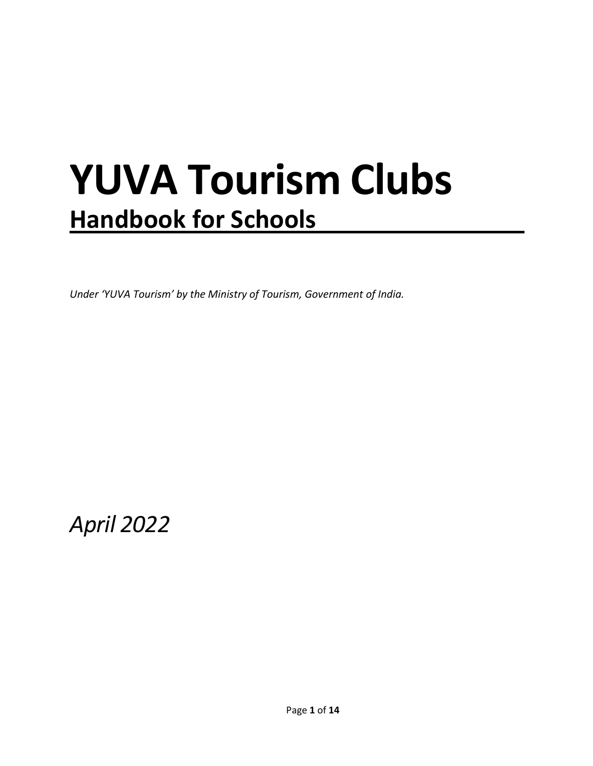## <span id="page-2-0"></span>**YUVA Tourism Clubs Handbook for Schools**

*Under 'YUVA Tourism' by the Ministry of Tourism, Government of India.*

*April 2022*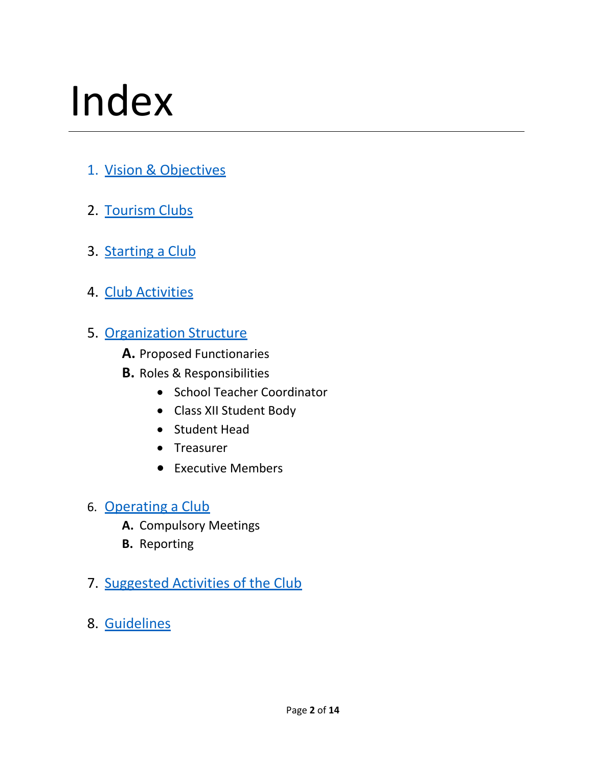# <span id="page-3-0"></span>Index

- 1. Vision & [Objectives](#page-2-0)
- 2. [Tourism](#page-3-0) Clubs
- 3. [Starting](#page-4-0) a Club
- 4. Club [Activities](#page-5-0)
- 5. [Organization](#page-7-0) Structure
	- **A.** Proposed Functionaries
	- **B.** Roles & Responsibilities
		- School Teacher Coordinator
		- Class XII Student Body
		- Student Head
		- Treasurer
		- Executive Members
- 6. [Operating](#page-10-0) a Club
	- **A.** Compulsory Meetings
	- **B.** Reporting
- 7. [Suggested](#page-11-0) Activities of the Club
- 8. [Guidelines](#page-13-0)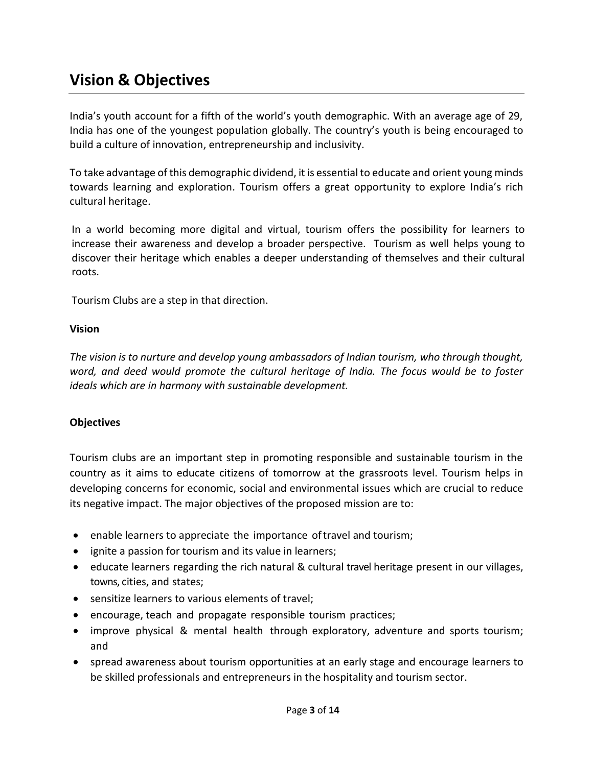## **Vision & Objectives**

India's youth account for a fifth of the world's youth demographic. With an average age of 29, India has one of the youngest population globally. The country's youth is being encouraged to build a culture of innovation, entrepreneurship and inclusivity.

To take advantage of this demographic dividend, it is essential to educate and orient young minds towards learning and exploration. Tourism offers a great opportunity to explore India's rich cultural heritage.

In a world becoming more digital and virtual, tourism offers the possibility for learners to increase their awareness and develop a broader perspective. Tourism as well helps young to discover their heritage which enables a deeper understanding of themselves and their cultural roots.

Tourism Clubs are a step in that direction.

#### **Vision**

*The vision is to nurture and develop young ambassadors of Indian tourism, who through thought, word, and deed would promote the cultural heritage of India. The focus would be to foster ideals which are in harmony with sustainable development.* 

## **Objectives**

Tourism clubs are an important step in promoting responsible and sustainable tourism in the country as it aims to educate citizens of tomorrow at the grassroots level. Tourism helps in developing concerns for economic, social and environmental issues which are crucial to reduce its negative impact. The major objectives of the proposed mission are to:

- enable learners to appreciate the importance of travel and tourism;
- ignite a passion for tourism and its value in learners;
- educate learners regarding the rich natural & cultural travel heritage present in our villages, towns, cities, and states;
- sensitize learners to various elements of travel;
- <span id="page-4-0"></span>• encourage, teach and propagate responsible tourism practices;
- improve physical & mental health through exploratory, adventure and sports tourism; and
- spread awareness about tourism opportunities at an early stage and encourage learners to be skilled professionals and entrepreneurs in the hospitality and tourism sector.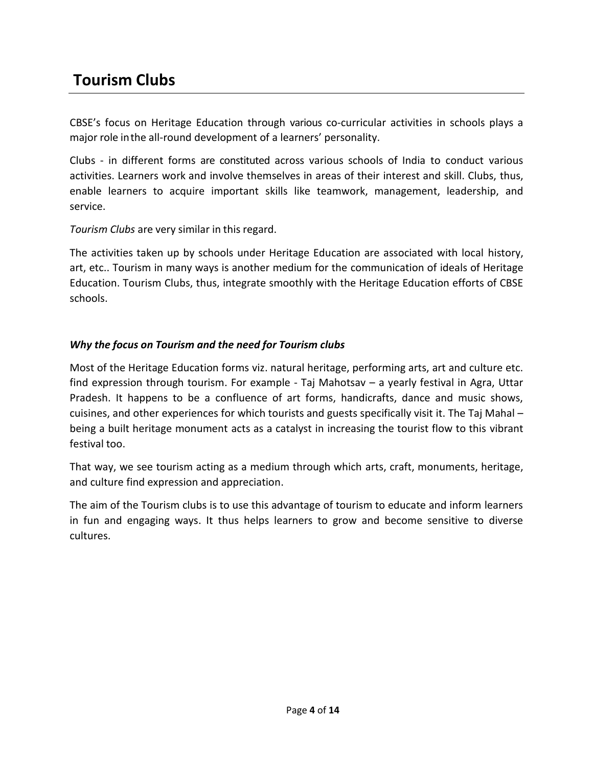## **Tourism Clubs**

CBSE's focus on Heritage Education through various co-curricular activities in schools plays a major role in the all-round development of a learners' personality.

Clubs - in different forms are constituted across various schools of India to conduct various activities. Learners work and involve themselves in areas of their interest and skill. Clubs, thus, enable learners to acquire important skills like teamwork, management, leadership, and service.

*Tourism Clubs* are very similar in this regard.

The activities taken up by schools under Heritage Education are associated with local history, art, etc.. Tourism in many ways is another medium for the communication of ideals of Heritage Education. Tourism Clubs, thus, integrate smoothly with the Heritage Education efforts of CBSE schools.

## *Why the focus on Tourism and the need for Tourism clubs*

Most of the Heritage Education forms viz. natural heritage, performing arts, art and culture etc. find expression through tourism. For example - Taj Mahotsav – a yearly festival in Agra, Uttar Pradesh. It happens to be a confluence of art forms, handicrafts, dance and music shows, cuisines, and other experiences for which tourists and guests specifically visit it. The Taj Mahal – being a built heritage monument acts as a catalyst in increasing the tourist flow to this vibrant festival too.

<span id="page-5-0"></span>That way, we see tourism acting as a medium through which arts, craft, monuments, heritage, and culture find expression and appreciation.

The aim of the Tourism clubs is to use this advantage of tourism to educate and inform learners in fun and engaging ways. It thus helps learners to grow and become sensitive to diverse cultures.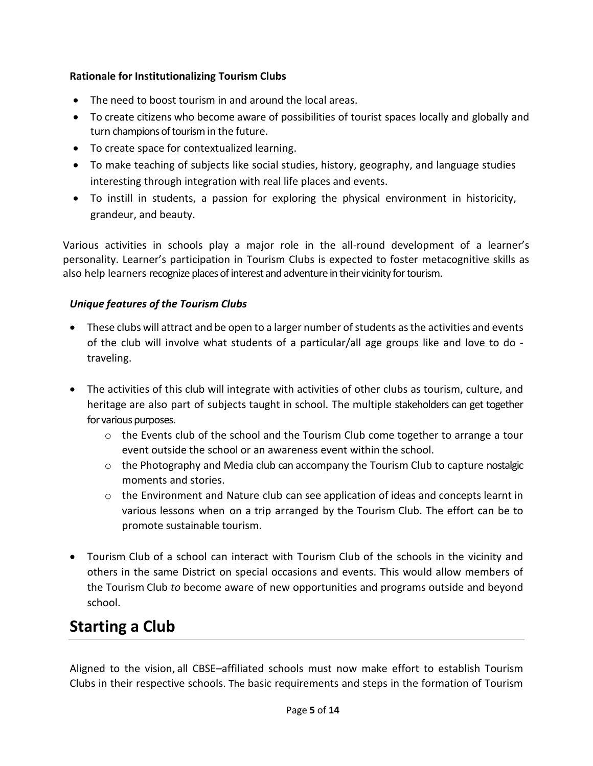## **Rationale for Institutionalizing Tourism Clubs**

- The need to boost tourism in and around the local areas.
- To create citizens who become aware of possibilities of tourist spaces locally and globally and turn champions of tourism in the future.
- To create space for contextualized learning.
- To make teaching of subjects like social studies, history, geography, and language studies interesting through integration with real life places and events.
- To instill in students, a passion for exploring the physical environment in historicity, grandeur, and beauty.

Various activities in schools play a major role in the all-round development of a learner's personality. Learner's participation in Tourism Clubs is expected to foster metacognitive skills as also help learners recognize places of interest and adventure in their vicinity for tourism.

## *Unique features of the Tourism Clubs*

- These clubs will attract and be open to a larger number of students as the activities and events of the club will involve what students of a particular/all age groups like and love to do traveling.
- The activities of this club will integrate with activities of other clubs as tourism, culture, and heritage are also part of subjects taught in school. The multiple stakeholders can get together for various purposes.
	- o the Events club of the school and the Tourism Club come together to arrange a tour event outside the school or an awareness event within the school.
	- $\circ$  the Photography and Media club can accompany the Tourism Club to capture nostalgic moments and stories.
	- $\circ$  the Environment and Nature club can see application of ideas and concepts learnt in various lessons when on a trip arranged by the Tourism Club. The effort can be to promote sustainable tourism.
- Tourism Club of a school can interact with Tourism Club of the schools in the vicinity and others in the same District on special occasions and events. This would allow members of the Tourism Club *to* become aware of new opportunities and programs outside and beyond school.

## **Starting a Club**

Aligned to the vision, all CBSE–affiliated schools must now make effort to establish Tourism Clubs in their respective schools. The basic requirements and steps in the formation of Tourism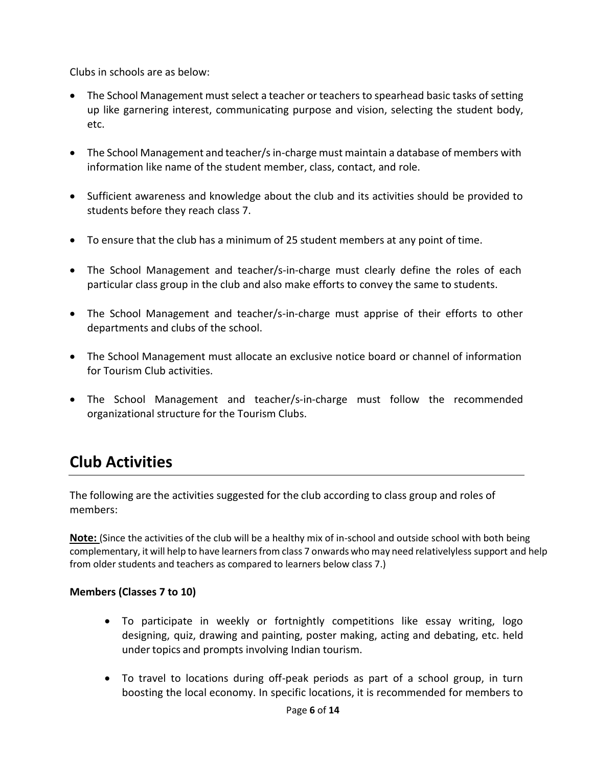Clubs in schools are as below:

- The School Management must select a teacher or teachers to spearhead basic tasks of setting up like garnering interest, communicating purpose and vision, selecting the student body, etc.
- <span id="page-7-0"></span>• The School Management and teacher/s in-charge must maintain a database of members with information like name of the student member, class, contact, and role.
- Sufficient awareness and knowledge about the club and its activities should be provided to students before they reach class 7.
- To ensure that the club has a minimum of 25 student members at any point of time.
- The School Management and teacher/s-in-charge must clearly define the roles of each particular class group in the club and also make efforts to convey the same to students.
- The School Management and teacher/s-in-charge must apprise of their efforts to other departments and clubs of the school.
- The School Management must allocate an exclusive notice board or channel of information for Tourism Club activities.
- The School Management and teacher/s-in-charge must follow the recommended organizational structure for the Tourism Clubs.

## **Club Activities**

The following are the activities suggested for the club according to class group and roles of members:

**Note:** (Since the activities of the club will be a healthy mix of in-school and outside school with both being complementary, it will help to have learnersfrom class 7 onwards who may need relativelyless support and help from older students and teachers as compared to learners below class 7.)

## **Members (Classes 7 to 10)**

- To participate in weekly or fortnightly competitions like essay writing, logo designing, quiz, drawing and painting, poster making, acting and debating, etc. held under topics and prompts involving Indian tourism.
- To travel to locations during off-peak periods as part of a school group, in turn boosting the local economy. In specific locations, it is recommended for members to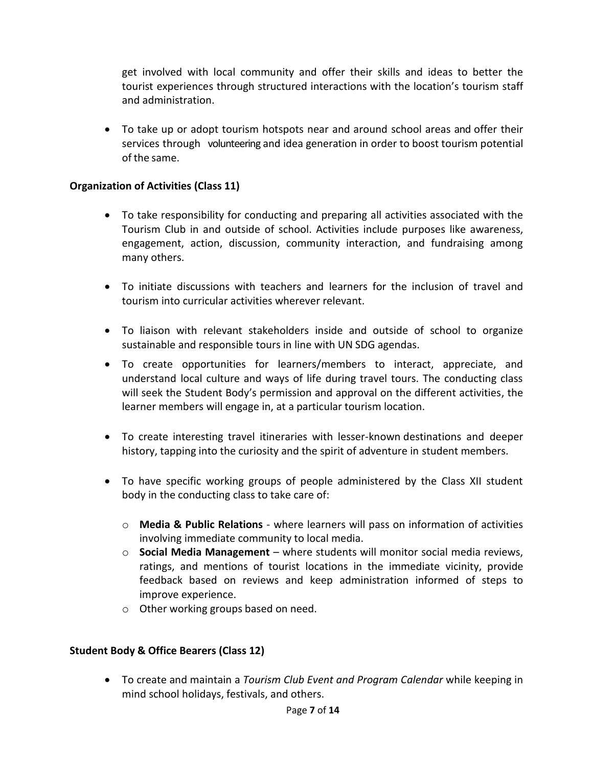get involved with local community and offer their skills and ideas to better the tourist experiences through structured interactions with the location's tourism staff and administration.

 To take up or adopt tourism hotspots near and around school areas and offer their services through volunteering and idea generation in order to boost tourism potential of the same.

## **Organization of Activities (Class 11)**

- To take responsibility for conducting and preparing all activities associated with the Tourism Club in and outside of school. Activities include purposes like awareness, engagement, action, discussion, community interaction, and fundraising among many others.
- To initiate discussions with teachers and learners for the inclusion of travel and tourism into curricular activities wherever relevant.
- To liaison with relevant stakeholders inside and outside of school to organize sustainable and responsible tours in line with UN SDG agendas.
- To create opportunities for learners/members to interact, appreciate, and understand local culture and ways of life during travel tours. The conducting class will seek the Student Body's permission and approval on the different activities, the learner members will engage in, at a particular tourism location.
- To create interesting travel itineraries with lesser-known destinations and deeper history, tapping into the curiosity and the spirit of adventure in student members.
- To have specific working groups of people administered by the Class XII student body in the conducting class to take care of:
	- o **Media & Public Relations**  where learners will pass on information of activities involving immediate community to local media.
	- o **Social Media Management**  where students will monitor social media reviews, ratings, and mentions of tourist locations in the immediate vicinity, provide feedback based on reviews and keep administration informed of steps to improve experience.
	- o Other working groups based on need.

## **Student Body & Office Bearers (Class 12)**

 To create and maintain a *Tourism Club Event and Program Calendar* while keeping in mind school holidays, festivals, and others.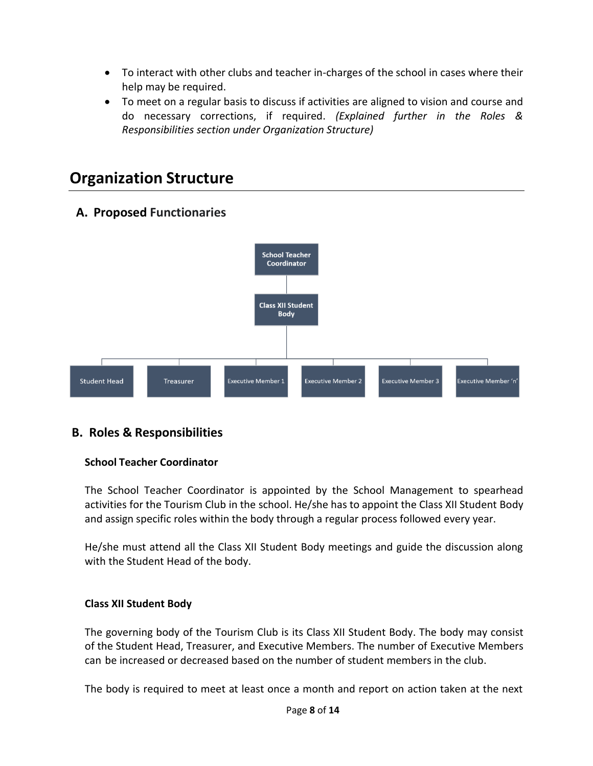- To interact with other clubs and teacher in-charges of the school in cases where their help may be required.
- To meet on a regular basis to discuss if activities are aligned to vision and course and do necessary corrections, if required. *(Explained further in the Roles & Responsibilities section under Organization Structure)*

## **Organization Structure**



## **A. Proposed Functionaries**

## **B. Roles & Responsibilities**

## **School Teacher Coordinator**

The School Teacher Coordinator is appointed by the School Management to spearhead activities for the Tourism Club in the school. He/she has to appoint the Class XII Student Body and assign specific roles within the body through a regular process followed every year.

He/she must attend all the Class XII Student Body meetings and guide the discussion along with the Student Head of the body.

## **Class XII Student Body**

The governing body of the Tourism Club is its Class XII Student Body. The body may consist of the Student Head, Treasurer, and Executive Members. The number of Executive Members can be increased or decreased based on the number of student members in the club.

The body is required to meet at least once a month and report on action taken at the next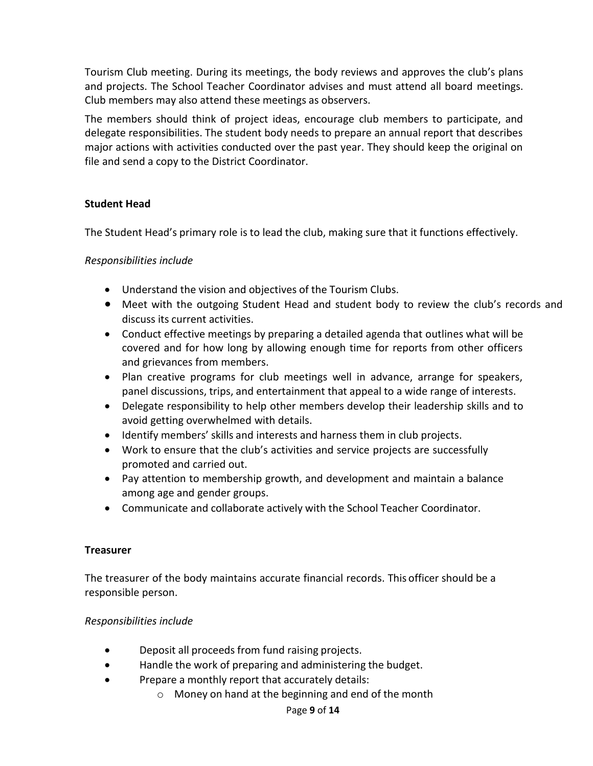Tourism Club meeting. During its meetings, the body reviews and approves the club's plans and projects. The School Teacher Coordinator advises and must attend all board meetings. Club members may also attend these meetings as observers.

The members should think of project ideas, encourage club members to participate, and delegate responsibilities. The student body needs to prepare an annual report that describes major actions with activities conducted over the past year. They should keep the original on file and send a copy to the District Coordinator.

## **Student Head**

The Student Head's primary role is to lead the club, making sure that it functions effectively.

### *Responsibilities include*

- Understand the vision and objectives of the Tourism Clubs.
- Meet with the outgoing Student Head and student body to review the club's records and discuss its current activities.
- Conduct effective meetings by preparing a detailed agenda that outlines what will be covered and for how long by allowing enough time for reports from other officers and grievances from members.
- Plan creative programs for club meetings well in advance, arrange for speakers, panel discussions, trips, and entertainment that appeal to a wide range of interests.
- Delegate responsibility to help other members develop their leadership skills and to avoid getting overwhelmed with details.
- Identify members' skills and interests and harness them in club projects.
- <span id="page-10-0"></span> Work to ensure that the club's activities and service projects are successfully promoted and carried out.
- Pay attention to membership growth, and development and maintain a balance among age and gender groups.
- Communicate and collaborate actively with the School Teacher Coordinator.

#### **Treasurer**

The treasurer of the body maintains accurate financial records. This officer should be a responsible person.

#### *Responsibilities include*

- Deposit all proceeds from fund raising projects.
- Handle the work of preparing and administering the budget.
- Prepare a monthly report that accurately details:
	- o Money on hand at the beginning and end of the month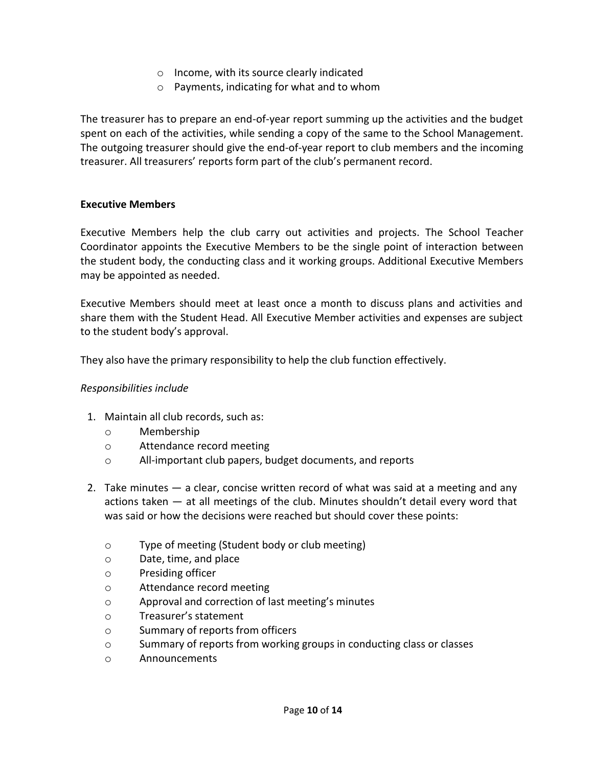- o Income, with its source clearly indicated
- o Payments, indicating for what and to whom

<span id="page-11-0"></span>The treasurer has to prepare an end-of-year report summing up the activities and the budget spent on each of the activities, while sending a copy of the same to the School Management. The outgoing treasurer should give the end-of-year report to club members and the incoming treasurer. All treasurers' reports form part of the club's permanent record.

#### **Executive Members**

Executive Members help the club carry out activities and projects. The School Teacher Coordinator appoints the Executive Members to be the single point of interaction between the student body, the conducting class and it working groups. Additional Executive Members may be appointed as needed.

Executive Members should meet at least once a month to discuss plans and activities and share them with the Student Head. All Executive Member activities and expenses are subject to the student body's approval.

They also have the primary responsibility to help the club function effectively.

#### *Responsibilities include*

- 1. Maintain all club records, such as:
	- o Membership
	- o Attendance record meeting
	- o All-important club papers, budget documents, and reports
- 2. Take minutes a clear, concise written record of what was said at a meeting and any actions taken — at all meetings of the club. Minutes shouldn't detail every word that was said or how the decisions were reached but should cover these points:
	- o Type of meeting (Student body or club meeting)
	- o Date, time, and place
	- o Presiding officer
	- o Attendance record meeting
	- o Approval and correction of last meeting's minutes
	- o Treasurer's statement
	- o Summary of reports from officers
	- o Summary of reports from working groups in conducting class or classes
	- o Announcements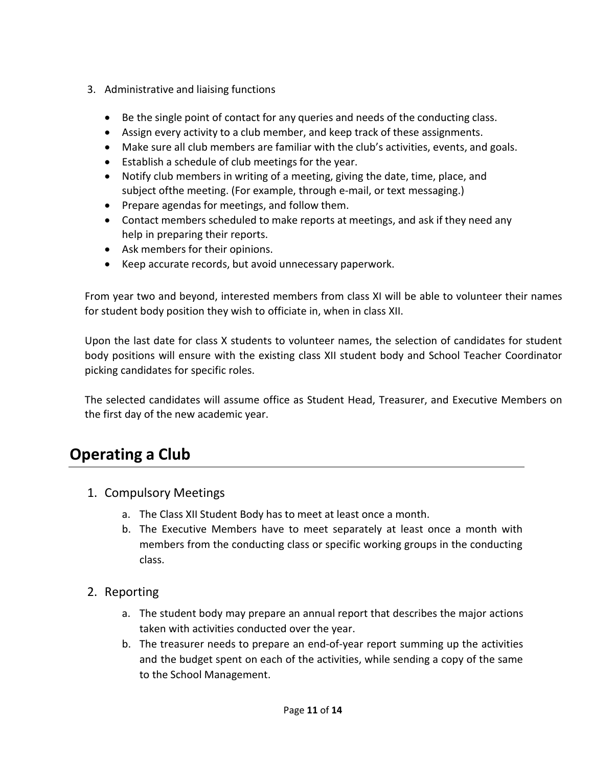- 3. Administrative and liaising functions
	- Be the single point of contact for any queries and needs of the conducting class.
	- Assign every activity to a club member, and keep track of these assignments.
	- Make sure all club members are familiar with the club's activities, events, and goals.
	- Establish a schedule of club meetings for the year.
	- Notify club members in writing of a meeting, giving the date, time, place, and subject ofthe meeting. (For example, through e-mail, or text messaging.)
	- Prepare agendas for meetings, and follow them.
	- Contact members scheduled to make reports at meetings, and ask if they need any help in preparing their reports.
	- Ask members for their opinions.
	- Keep accurate records, but avoid unnecessary paperwork.

From year two and beyond, interested members from class XI will be able to volunteer their names for student body position they wish to officiate in, when in class XII.

Upon the last date for class X students to volunteer names, the selection of candidates for student body positions will ensure with the existing class XII student body and School Teacher Coordinator picking candidates for specific roles.

The selected candidates will assume office as Student Head, Treasurer, and Executive Members on the first day of the new academic year.

## **Operating a Club**

- 1. Compulsory Meetings
	- a. The Class XII Student Body has to meet at least once a month.
	- b. The Executive Members have to meet separately at least once a month with members from the conducting class or specific working groups in the conducting class.
- 2. Reporting
	- a. The student body may prepare an annual report that describes the major actions taken with activities conducted over the year.
	- b. The treasurer needs to prepare an end-of-year report summing up the activities and the budget spent on each of the activities, while sending a copy of the same to the School Management.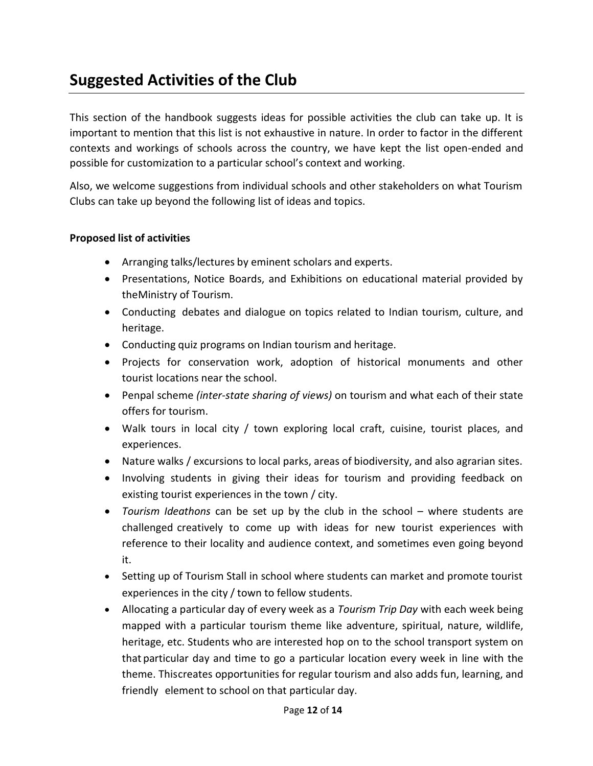## <span id="page-13-0"></span>**Suggested Activities of the Club**

This section of the handbook suggests ideas for possible activities the club can take up. It is important to mention that this list is not exhaustive in nature. In order to factor in the different contexts and workings of schools across the country, we have kept the list open-ended and possible for customization to a particular school's context and working.

Also, we welcome suggestions from individual schools and other stakeholders on what Tourism Clubs can take up beyond the following list of ideas and topics.

## **Proposed list of activities**

- Arranging talks/lectures by eminent scholars and experts.
- Presentations, Notice Boards, and Exhibitions on educational material provided by theMinistry of Tourism.
- Conducting debates and dialogue on topics related to Indian tourism, culture, and heritage.
- Conducting quiz programs on Indian tourism and heritage.
- Projects for conservation work, adoption of historical monuments and other tourist locations near the school.
- Penpal scheme *(inter-state sharing of views)* on tourism and what each of their state offers for tourism.
- Walk tours in local city / town exploring local craft, cuisine, tourist places, and experiences.
- Nature walks / excursions to local parks, areas of biodiversity, and also agrarian sites.
- Involving students in giving their ideas for tourism and providing feedback on existing tourist experiences in the town / city.
- *Tourism Ideathons* can be set up by the club in the school where students are challenged creatively to come up with ideas for new tourist experiences with reference to their locality and audience context, and sometimes even going beyond it.
- Setting up of Tourism Stall in school where students can market and promote tourist experiences in the city / town to fellow students.
- Allocating a particular day of every week as a *Tourism Trip Day* with each week being mapped with a particular tourism theme like adventure, spiritual, nature, wildlife, heritage, etc. Students who are interested hop on to the school transport system on that particular day and time to go a particular location every week in line with the theme. Thiscreates opportunities for regular tourism and also adds fun, learning, and friendly element to school on that particular day.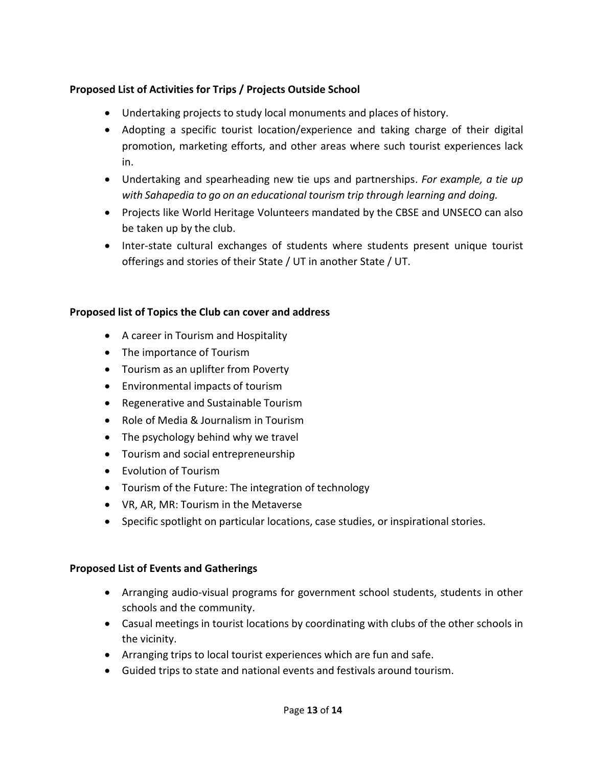## **Proposed List of Activities for Trips / Projects Outside School**

- Undertaking projects to study local monuments and places of history.
- Adopting a specific tourist location/experience and taking charge of their digital promotion, marketing efforts, and other areas where such tourist experiences lack in.
- Undertaking and spearheading new tie ups and partnerships. *For example, a tie up with Sahapedia to go on an educational tourism trip through learning and doing.*
- Projects like World Heritage Volunteers mandated by the CBSE and UNSECO can also be taken up by the club.
- Inter-state cultural exchanges of students where students present unique tourist offerings and stories of their State / UT in another State / UT.

## **Proposed list of Topics the Club can cover and address**

- A career in Tourism and Hospitality
- The importance of Tourism
- Tourism as an uplifter from Poverty
- Environmental impacts of tourism
- Regenerative and Sustainable Tourism
- Role of Media & Journalism in Tourism
- The psychology behind why we travel
- Tourism and social entrepreneurship
- Fyolution of Tourism
- Tourism of the Future: The integration of technology
- VR, AR, MR: Tourism in the Metaverse
- Specific spotlight on particular locations, case studies, or inspirational stories.

## **Proposed List of Events and Gatherings**

- Arranging audio-visual programs for government school students, students in other schools and the community.
- Casual meetings in tourist locations by coordinating with clubs of the other schools in the vicinity.
- Arranging trips to local tourist experiences which are fun and safe.
- Guided trips to state and national events and festivals around tourism.